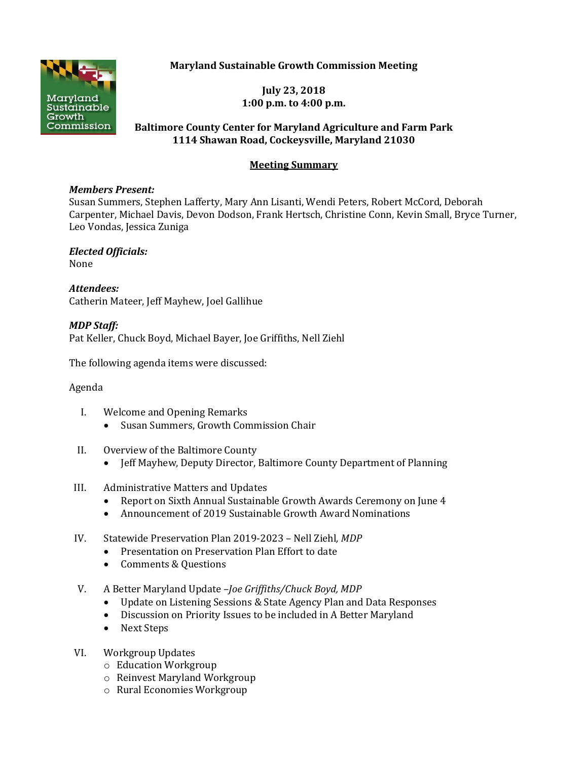**Maryland Sustainable Growth Commission Meeting**



**July 23, 2018 1:00 p.m. to 4:00 p.m.**

## **Baltimore County Center for Maryland Agriculture and Farm Park 1114 Shawan Road, Cockeysville, Maryland 21030**

# **Meeting Summary**

#### *Members Present:*

Susan Summers, Stephen Lafferty, Mary Ann Lisanti, Wendi Peters, Robert McCord, Deborah Carpenter, Michael Davis, Devon Dodson, Frank Hertsch, Christine Conn, Kevin Small, Bryce Turner, Leo Vondas, Jessica Zuniga

*Elected Officials:* None

*Attendees:* Catherin Mateer, Jeff Mayhew, Joel Gallihue

*MDP Staff:* Pat Keller, Chuck Boyd, Michael Bayer, Joe Griffiths, Nell Ziehl

The following agenda items were discussed:

## Agenda

- I. Welcome and Opening Remarks
	- Susan Summers, Growth Commission Chair
- II. Overview of the Baltimore County
	- Jeff Mayhew, Deputy Director, Baltimore County Department of Planning
- III. Administrative Matters and Updates
	- Report on Sixth Annual Sustainable Growth Awards Ceremony on June 4
	- Announcement of 2019 Sustainable Growth Award Nominations
- IV. Statewide Preservation Plan 2019-2023 Nell Ziehl*, MDP*
	- Presentation on Preservation Plan Effort to date
	- Comments & Questions
- V. A Better Maryland Update –*Joe Griffiths/Chuck Boyd, MDP*
	- Update on Listening Sessions & State Agency Plan and Data Responses
	- Discussion on Priority Issues to be included in A Better Maryland
	- Next Steps
- VI. Workgroup Updates
	- o Education Workgroup
	- o Reinvest Maryland Workgroup
	- o Rural Economies Workgroup